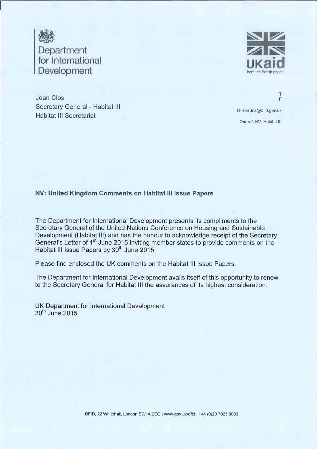

Joan Clos Secretary General - Habitat III **Habitat III Secretariat** 



 $\top$ 

F

R-Karruna@dfid.gov.uk Our ref: NV\_Habitat III

#### NV: United Kingdom Comments on Habitat III Issue Papers

The Department for International Development presents its compliments to the Secretary General of the United Nations Conference on Housing and Sustainable Development (Habitat III) and has the honour to acknowledge receipt of the Secretary General's Letter of 1<sup>st</sup> June 2015 inviting member states to provide comments on the Habitat III Issue Papers by 30<sup>th</sup> June 2015.

Please find enclosed the UK comments on the Habitat III Issue Papers.

The Department for International Development avails itself of this opportunity to renew to the Secretary General for Habitat III the assurances of its highest consideration.

UK Department for International Development 30<sup>th</sup> June 2015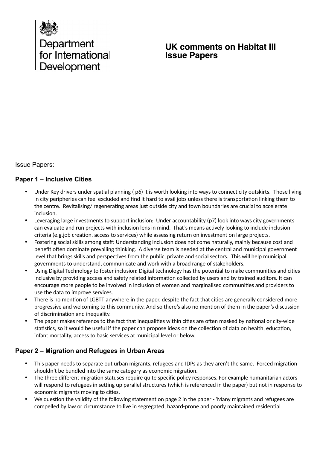

# **UK comments on Habitat III Issue Papers**

Issue Papers:

#### **Paper 1 – Inclusive Cities**

- Under Key drivers under spatial planning (p6) it is worth looking into ways to connect city outskirts. Those living in city peripheries can feel excluded and find it hard to avail jobs unless there is transportation linking them to the centre. Revitalising/ regenerating areas just outside city and town boundaries are crucial to accelerate inclusion.
- Leveraging large investments to support inclusion: Under accountability (p7) look into ways city governments can evaluate and run projects with inclusion lens in mind. That's means actively looking to include inclusion criteria (e.g.job creation, access to services) while assessing return on investment on large projects.
- Fostering social skills among staf: Understanding inclusion does not come naturally, mainly because cost and benefit often dominate prevailing thinking. A diverse team is needed at the central and municipal government level that brings skills and perspectives from the public, private and social sectors. This will help municipal governments to understand, communicate and work with a broad range of stakeholders.
- Using Digital Technology to foster inclusion: Digital technology has the potential to make communities and cities inclusive by providing access and safety related information collected by users and by trained auditors. It can encourage more people to be involved in inclusion of women and marginalised communities and providers to use the data to improve services.
- There is no mention of LGBTT anywhere in the paper, despite the fact that cities are generally considered more progressive and welcoming to this community. And so there's also no mention of them in the paper's discussion of discrimination and inequality.
- The paper makes reference to the fact that inequalities within cities are often masked by national or city-wide statistics, so it would be useful if the paper can propose ideas on the collection of data on health, education, infant mortality, access to basic services at municipal level or below.

#### **Paper 2 – Migration and Refugees in Urban Areas**

- This paper needs to separate out urban migrants, refugees and IDPs as they aren't the same. Forced migration shouldn't be bundled into the same category as economic migration.
- The three diferent migration statuses require quite specific policy responses. For example humanitarian actors will respond to refugees in setting up parallel structures (which is referenced in the paper) but not in response to economic migrants moving to cities.
- We question the validity of the following statement on page 2 in the paper 'Many migrants and refugees are compelled by law or circumstance to live in segregated, hazard-prone and poorly maintained residential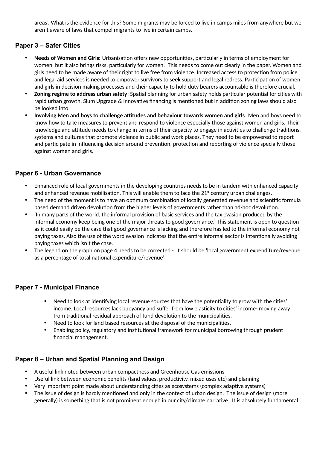areas'. What is the evidence for this? Some migrants may be forced to live in camps miles from anywhere but we aren't aware of laws that compel migrants to live in certain camps.

### **Paper 3 – Safer Cities**

- **Needs of Women and Girls:** Urbanisation ofers new opportunities, particularly in terms of employment for women, but it also brings risks, particularly for women. This needs to come out clearly in the paper. Women and girls need to be made aware of their right to live free from violence. Increased access to protection from police and legal aid services is needed to empower survivors to seek support and legal redress. Participation of women and girls in decision making processes and their capacity to hold duty bearers accountable is therefore crucial**.**
- **Zoning regime to address urban safety**: Spatial planning for urban safety holds particular potential for cities with rapid urban growth. Slum Upgrade & innovative financing is mentioned but in addition zoning laws should also be looked into.
- **Involving Men and boys to challenge attitudes and behaviour towards women and girls**: Men and boys need to know how to take measures to prevent and respond to violence especially those against women and girls. Their knowledge and attitude needs to change in terms of their capacity to engage in activities to challenge traditions, systems and cultures that promote violence in public and work places. They need to be empowered to report and participate in influencing decision around prevention, protection and reporting of violence specially those against women and girls.

### **Paper 6 - Urban Governance**

- Enhanced role of local governments in the developing countries needs to be in tandem with enhanced capacity and enhanced revenue mobilisation. This will enable them to face the  $21<sup>st</sup>$  century urban challenges.
- The need of the moment is to have an optimum combination of locally generated revenue and scientific formula based demand driven devolution from the higher levels of governments rather than ad-hoc devolution.
- 'In many parts of the world, the informal provision of basic services and the tax evasion produced by the informal economy keep being one of the major threats to good governance.' This statement is open to question as it could easily be the case that good governance is lacking and therefore has led to the informal economy not paying taxes. Also the use of the word evasion indicates that the entire informal sector is intentionally avoiding paying taxes which isn't the case.
- The legend on the graph on page 4 needs to be corrected It should be 'local government expenditure/revenue as a percentage of total national expenditure/revenue'

#### **Paper 7 - Municipal Finance**

- Need to look at identifying local revenue sources that have the potentiality to grow with the cities' income. Local resources lack buoyancy and suffer from low elasticity to cities' income- moving away from traditional residual approach of fund devolution to the municipalities.
- Need to look for land based resources at the disposal of the municipalities.
- Enabling policy, regulatory and institutional framework for municipal borrowing through prudent financial management.

#### **Paper 8 – Urban and Spatial Planning and Design**

- A useful link noted between urban compactness and Greenhouse Gas emissions
- Useful link between economic benefits (land values, productivity, mixed uses etc) and planning
- Very important point made about understanding cities as ecosystems (complex adaptive systems)
- The issue of design is hardly mentioned and only in the context of urban design. The issue of design (more generally) is something that is not prominent enough in our city/climate narrative. It is absolutely fundamental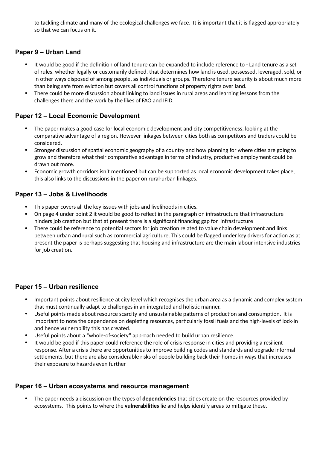to tackling climate and many of the ecological challenges we face. It is important that it is flagged appropriately so that we can focus on it.

#### **Paper 9 – Urban Land**

- It would be good if the definition of land tenure can be expanded to include reference to Land tenure as a set of rules, whether legally or customarily defined, that determines how land is used, possessed, leveraged, sold, or in other ways disposed of among people, as individuals or groups. Therefore tenure security is about much more than being safe from eviction but covers all control functions of property rights over land.
- There could be more discussion about linking to land issues in rural areas and learning lessons from the challenges there and the work by the likes of FAO and IFID.

#### **Paper 12 – Local Economic Development**

- The paper makes a good case for local economic development and city competitiveness, looking at the comparative advantage of a region. However linkages between cities both as competitors and traders could be considered.
- Stronger discussion of spatial economic geography of a country and how planning for where cities are going to grow and therefore what their comparative advantage in terms of industry, productive employment could be drawn out more.
- Economic growth corridors isn't mentioned but can be supported as local economic development takes place, this also links to the discussions in the paper on rural-urban linkages.

### **Paper 13 – Jobs & Livelihoods**

- This paper covers all the key issues with jobs and livelihoods in cities.
- On page 4 under point 2 it would be good to reflect in the paragraph on infrastructure that infrastructure hinders job creation but that at present there is a significant financing gap for infrastructure
- There could be reference to potential sectors for job creation related to value chain development and links between urban and rural such as commercial agriculture. This could be flagged under key drivers for action as at present the paper is perhaps suggesting that housing and infrastructure are the main labour intensive industries for job creation.

#### **Paper 15 – Urban resilience**

- Important points about resilience at city level which recognises the urban area as a dynamic and complex system that must continually adapt to challenges in an integrated and holistic manner.
- Useful points made about resource scarcity and unsustainable patterns of production and consumption. It is important to note the dependence on depleting resources, particularly fossil fuels and the high-levels of lock-in and hence vulnerability this has created.
- Useful points about a "whole-of-society" approach needed to build urban resilience.
- It would be good if this paper could reference the role of crisis response in cities and providing a resilient response. After a crisis there are opportunities to improve building codes and standards and upgrade informal settlements, but there are also considerable risks of people building back their homes in ways that increases their exposure to hazards even further

#### **Paper 16 – Urban ecosystems and resource management**

 The paper needs a discussion on the types of **dependencies** that cities create on the resources provided by ecosystems. This points to where the **vulnerabilities** lie and helps identify areas to mitigate these.